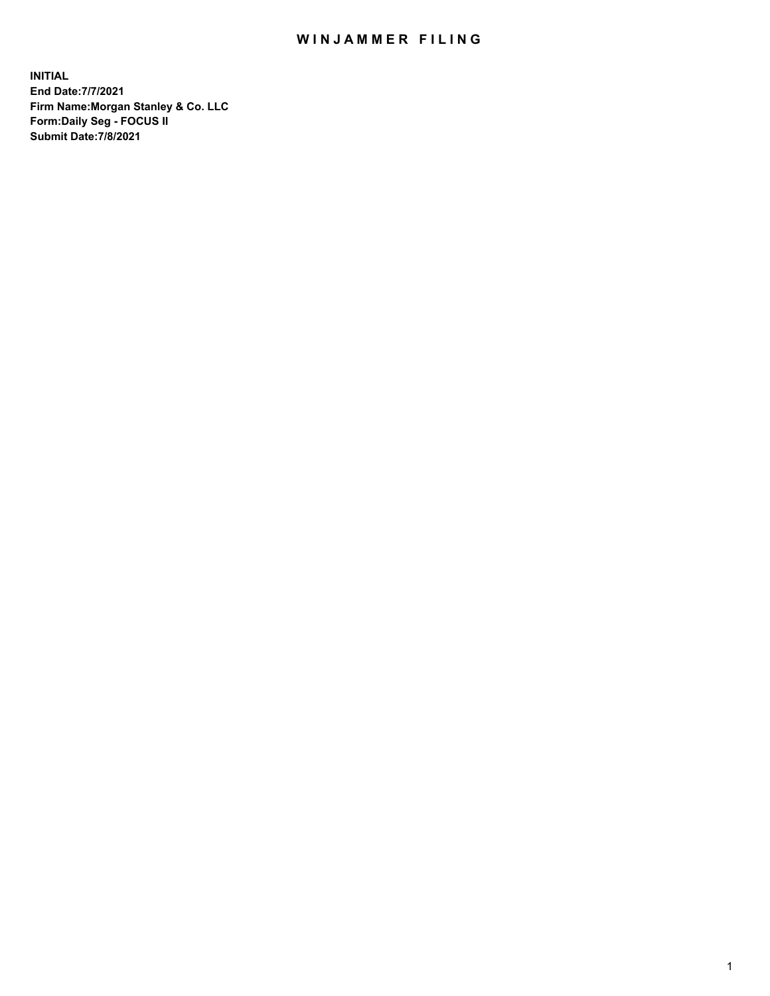## WIN JAMMER FILING

**INITIAL End Date:7/7/2021 Firm Name:Morgan Stanley & Co. LLC Form:Daily Seg - FOCUS II Submit Date:7/8/2021**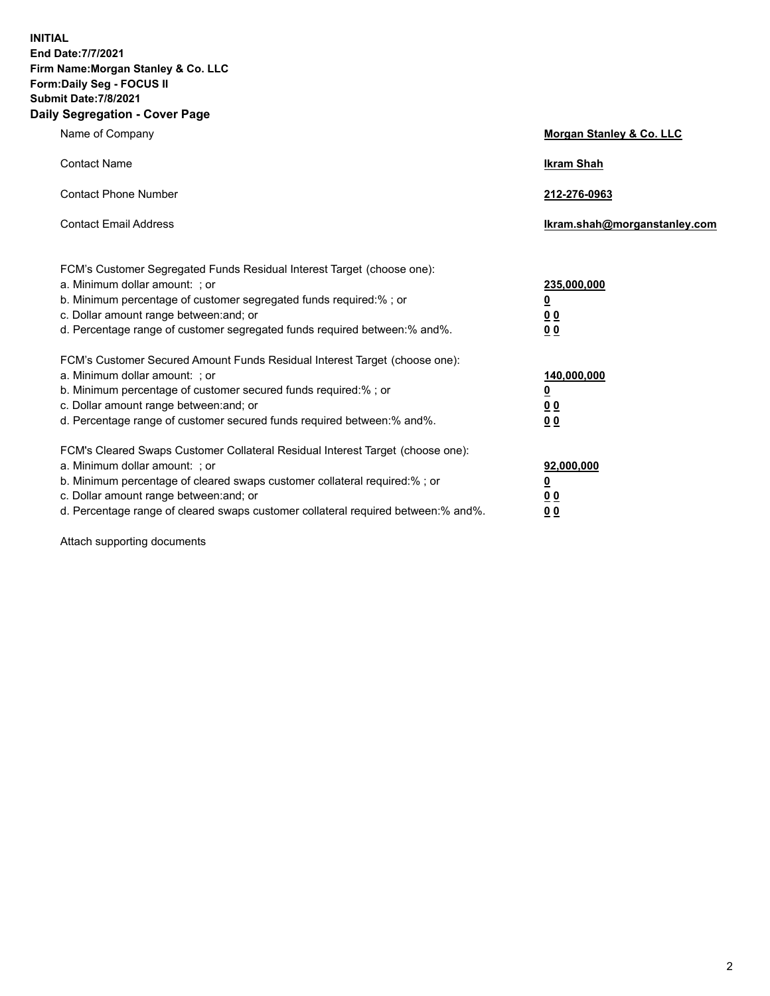**INITIAL End Date:7/7/2021 Firm Name:Morgan Stanley & Co. LLC Form:Daily Seg - FOCUS II Submit Date:7/8/2021 Daily Segregation - Cover Page**

| Name of Company                                                                                                                                                                                                                                                                                                                | <b>Morgan Stanley &amp; Co. LLC</b>                        |
|--------------------------------------------------------------------------------------------------------------------------------------------------------------------------------------------------------------------------------------------------------------------------------------------------------------------------------|------------------------------------------------------------|
| <b>Contact Name</b>                                                                                                                                                                                                                                                                                                            | <b>Ikram Shah</b>                                          |
| <b>Contact Phone Number</b>                                                                                                                                                                                                                                                                                                    | 212-276-0963                                               |
| <b>Contact Email Address</b>                                                                                                                                                                                                                                                                                                   | lkram.shah@morganstanley.com                               |
| FCM's Customer Segregated Funds Residual Interest Target (choose one):<br>a. Minimum dollar amount: ; or<br>b. Minimum percentage of customer segregated funds required:%; or<br>c. Dollar amount range between: and; or<br>d. Percentage range of customer segregated funds required between: % and %.                        | 235,000,000<br><u>0</u><br><u>00</u><br>0 <sup>0</sup>     |
| FCM's Customer Secured Amount Funds Residual Interest Target (choose one):<br>a. Minimum dollar amount: ; or<br>b. Minimum percentage of customer secured funds required:%; or<br>c. Dollar amount range between: and; or<br>d. Percentage range of customer secured funds required between: % and %.                          | 140,000,000<br><u>0</u><br><u>00</u><br>0 <sup>0</sup>     |
| FCM's Cleared Swaps Customer Collateral Residual Interest Target (choose one):<br>a. Minimum dollar amount: ; or<br>b. Minimum percentage of cleared swaps customer collateral required:% ; or<br>c. Dollar amount range between: and; or<br>d. Percentage range of cleared swaps customer collateral required between:% and%. | 92,000,000<br><u>0</u><br>0 <sup>0</sup><br>0 <sub>0</sub> |

Attach supporting documents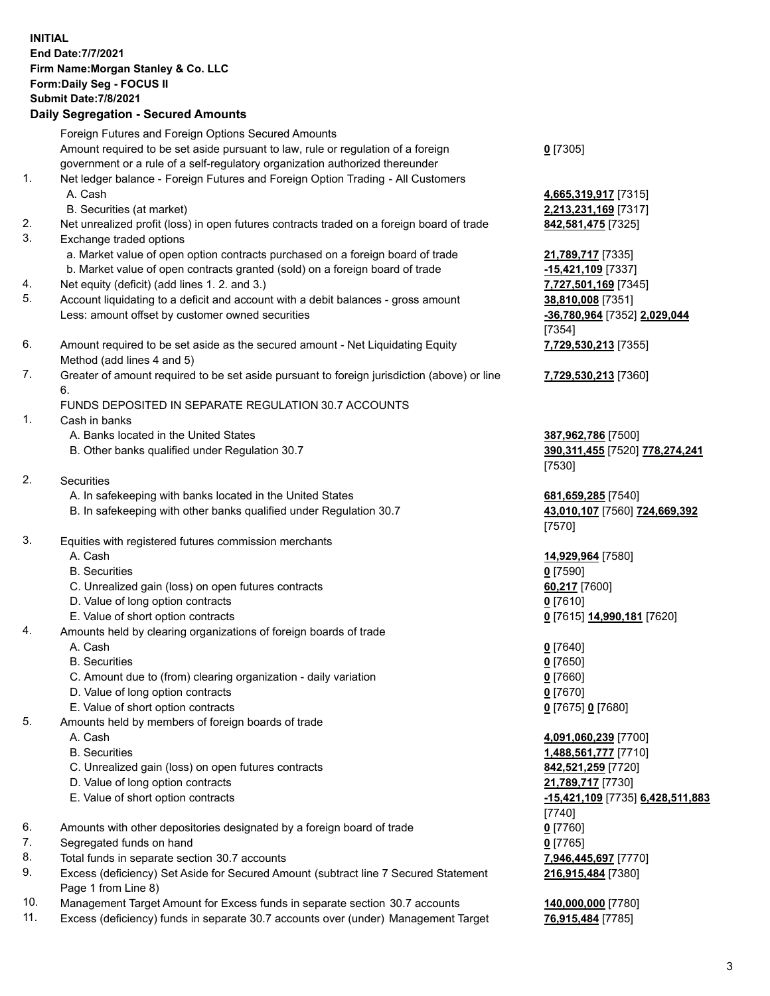|    | <b>INITIAL</b><br>End Date: 7/7/2021<br>Firm Name: Morgan Stanley & Co. LLC<br>Form: Daily Seg - FOCUS II<br><b>Submit Date: 7/8/2021</b><br><b>Daily Segregation - Secured Amounts</b> |                                                       |
|----|-----------------------------------------------------------------------------------------------------------------------------------------------------------------------------------------|-------------------------------------------------------|
|    | Foreign Futures and Foreign Options Secured Amounts                                                                                                                                     |                                                       |
|    | Amount required to be set aside pursuant to law, rule or regulation of a foreign                                                                                                        | $0$ [7305]                                            |
|    | government or a rule of a self-regulatory organization authorized thereunder                                                                                                            |                                                       |
| 1. | Net ledger balance - Foreign Futures and Foreign Option Trading - All Customers<br>A. Cash                                                                                              |                                                       |
|    | B. Securities (at market)                                                                                                                                                               | 4,665,319,917 [7315]<br>2,213,231,169 [7317]          |
| 2. | Net unrealized profit (loss) in open futures contracts traded on a foreign board of trade                                                                                               | 842,581,475 [7325]                                    |
| 3. | Exchange traded options                                                                                                                                                                 |                                                       |
|    | a. Market value of open option contracts purchased on a foreign board of trade                                                                                                          | 21,789,717 [7335]                                     |
|    | b. Market value of open contracts granted (sold) on a foreign board of trade                                                                                                            | -15,421,109 [7337]                                    |
| 4. | Net equity (deficit) (add lines 1. 2. and 3.)                                                                                                                                           | 7,727,501,169 [7345]                                  |
| 5. | Account liquidating to a deficit and account with a debit balances - gross amount                                                                                                       | 38,810,008 [7351]                                     |
|    | Less: amount offset by customer owned securities                                                                                                                                        | -36,780,964 [7352] 2,029,044                          |
| 6. |                                                                                                                                                                                         | [7354]                                                |
|    | Amount required to be set aside as the secured amount - Net Liquidating Equity<br>Method (add lines 4 and 5)                                                                            | 7,729,530,213 [7355]                                  |
| 7. | Greater of amount required to be set aside pursuant to foreign jurisdiction (above) or line                                                                                             | 7,729,530,213 [7360]                                  |
|    | 6.                                                                                                                                                                                      |                                                       |
|    | FUNDS DEPOSITED IN SEPARATE REGULATION 30.7 ACCOUNTS                                                                                                                                    |                                                       |
| 1. | Cash in banks                                                                                                                                                                           |                                                       |
|    | A. Banks located in the United States                                                                                                                                                   | 387,962,786 [7500]                                    |
|    | B. Other banks qualified under Regulation 30.7                                                                                                                                          | 390, 311, 455 [7520] 778, 274, 241                    |
|    |                                                                                                                                                                                         | [7530]                                                |
| 2. | Securities                                                                                                                                                                              |                                                       |
|    | A. In safekeeping with banks located in the United States<br>B. In safekeeping with other banks qualified under Regulation 30.7                                                         | 681,659,285 [7540]<br>43,010,107 [7560] 724,669,392   |
|    |                                                                                                                                                                                         | [7570]                                                |
| 3. | Equities with registered futures commission merchants                                                                                                                                   |                                                       |
|    | A. Cash                                                                                                                                                                                 | 14,929,964 [7580]                                     |
|    | <b>B.</b> Securities                                                                                                                                                                    | $0$ [7590]                                            |
|    | C. Unrealized gain (loss) on open futures contracts                                                                                                                                     | 60,217 [7600]                                         |
|    | D. Value of long option contracts                                                                                                                                                       | $0$ [7610]                                            |
|    | E. Value of short option contracts                                                                                                                                                      | 0 [7615] 14,990,181 [7620]                            |
| 4. | Amounts held by clearing organizations of foreign boards of trade<br>A. Cash                                                                                                            |                                                       |
|    | <b>B.</b> Securities                                                                                                                                                                    | $0$ [7640]<br>$0$ [7650]                              |
|    | C. Amount due to (from) clearing organization - daily variation                                                                                                                         | $0$ [7660]                                            |
|    | D. Value of long option contracts                                                                                                                                                       | $0$ [7670]                                            |
|    | E. Value of short option contracts                                                                                                                                                      | 0 [7675] 0 [7680]                                     |
| 5. | Amounts held by members of foreign boards of trade                                                                                                                                      |                                                       |
|    | A. Cash                                                                                                                                                                                 | 4,091,060,239 [7700]                                  |
|    | <b>B.</b> Securities                                                                                                                                                                    | 1,488,561,777 [7710]                                  |
|    | C. Unrealized gain (loss) on open futures contracts                                                                                                                                     | 842,521,259 [7720]                                    |
|    | D. Value of long option contracts<br>E. Value of short option contracts                                                                                                                 | 21,789,717 [7730]<br>-15,421,109 [7735] 6,428,511,883 |
|    |                                                                                                                                                                                         | $[7740]$                                              |
| 6. | Amounts with other depositories designated by a foreign board of trade                                                                                                                  | $0$ [7760]                                            |
| 7. | Segregated funds on hand                                                                                                                                                                | $0$ [7765]                                            |
| 8. | Total funds in separate section 30.7 accounts                                                                                                                                           | 7,946,445,697 [7770]                                  |

- 9. Excess (deficiency) Set Aside for Secured Amount (subtract line 7 Secured Statement Page 1 from Line 8)
- 10. Management Target Amount for Excess funds in separate section 30.7 accounts **140,000,000** [7780]
- 11. Excess (deficiency) funds in separate 30.7 accounts over (under) Management Target **76,915,484** [7785]

**216,915,484** [7380]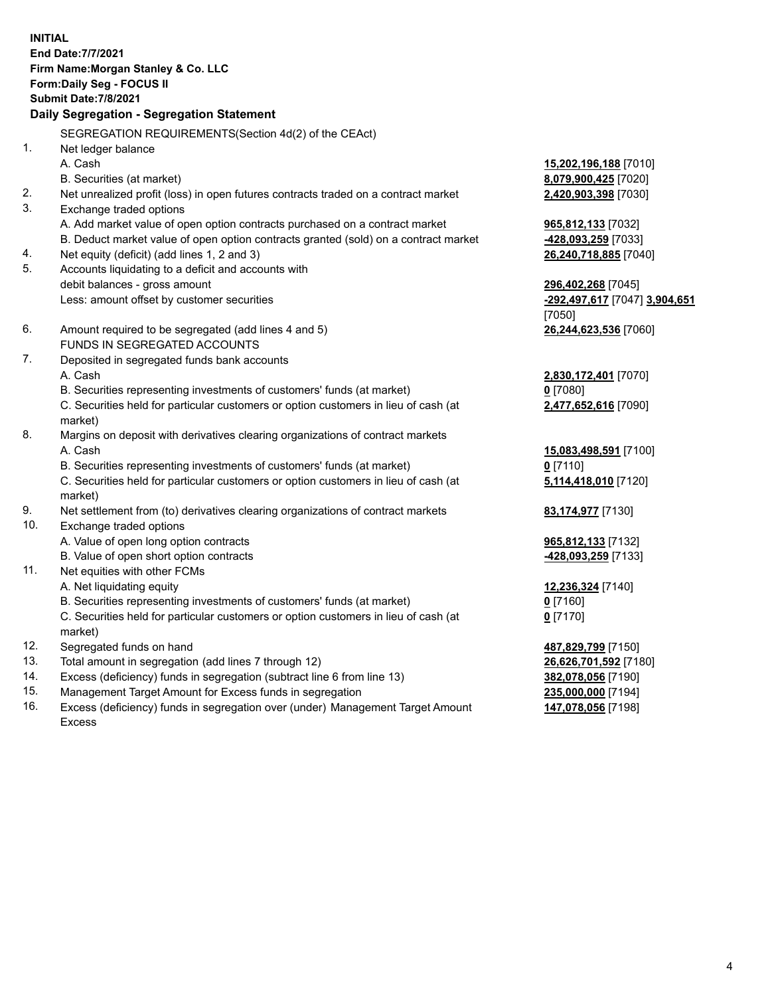**INITIAL End Date:7/7/2021 Firm Name:Morgan Stanley & Co. LLC Form:Daily Seg - FOCUS II Submit Date:7/8/2021 Daily Segregation - Segregation Statement** SEGREGATION REQUIREMENTS(Section 4d(2) of the CEAct) 1. Net ledger balance A. Cash **15,202,196,188** [7010] B. Securities (at market) **8,079,900,425** [7020] 2. Net unrealized profit (loss) in open futures contracts traded on a contract market **2,420,903,398** [7030] 3. Exchange traded options A. Add market value of open option contracts purchased on a contract market **965,812,133** [7032] B. Deduct market value of open option contracts granted (sold) on a contract market **-428,093,259** [7033] 4. Net equity (deficit) (add lines 1, 2 and 3) **26,240,718,885** [7040] 5. Accounts liquidating to a deficit and accounts with debit balances - gross amount **296,402,268** [7045] Less: amount offset by customer securities **-292,497,617** [7047] **3,904,651** [7050] 6. Amount required to be segregated (add lines 4 and 5) **26,244,623,536** [7060] FUNDS IN SEGREGATED ACCOUNTS 7. Deposited in segregated funds bank accounts A. Cash **2,830,172,401** [7070] B. Securities representing investments of customers' funds (at market) **0** [7080] C. Securities held for particular customers or option customers in lieu of cash (at market) **2,477,652,616** [7090] 8. Margins on deposit with derivatives clearing organizations of contract markets A. Cash **15,083,498,591** [7100] B. Securities representing investments of customers' funds (at market) **0** [7110] C. Securities held for particular customers or option customers in lieu of cash (at market) **5,114,418,010** [7120] 9. Net settlement from (to) derivatives clearing organizations of contract markets **83,174,977** [7130] 10. Exchange traded options A. Value of open long option contracts **965,812,133** [7132] B. Value of open short option contracts **-428,093,259** [7133] 11. Net equities with other FCMs A. Net liquidating equity **12,236,324** [7140] B. Securities representing investments of customers' funds (at market) **0** [7160] C. Securities held for particular customers or option customers in lieu of cash (at market) **0** [7170] 12. Segregated funds on hand **487,829,799** [7150] 13. Total amount in segregation (add lines 7 through 12) **26,626,701,592** [7180] 14. Excess (deficiency) funds in segregation (subtract line 6 from line 13) **382,078,056** [7190] 15. Management Target Amount for Excess funds in segregation **235,000,000** [7194]

16. Excess (deficiency) funds in segregation over (under) Management Target Amount Excess

**147,078,056** [7198]